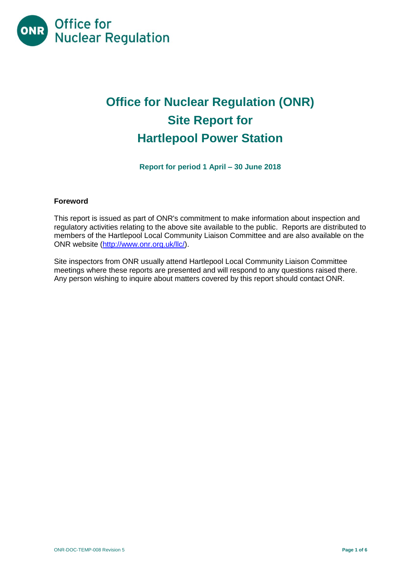

# **Office for Nuclear Regulation (ONR) Site Report for Hartlepool Power Station**

**Report for period 1 April – 30 June 2018**

# **Foreword**

This report is issued as part of ONR's commitment to make information about inspection and regulatory activities relating to the above site available to the public. Reports are distributed to members of the Hartlepool Local Community Liaison Committee and are also available on the ONR website [\(http://www.onr.org.uk/llc/\)](http://www.onr.org.uk/llc/).

Site inspectors from ONR usually attend Hartlepool Local Community Liaison Committee meetings where these reports are presented and will respond to any questions raised there. Any person wishing to inquire about matters covered by this report should contact ONR.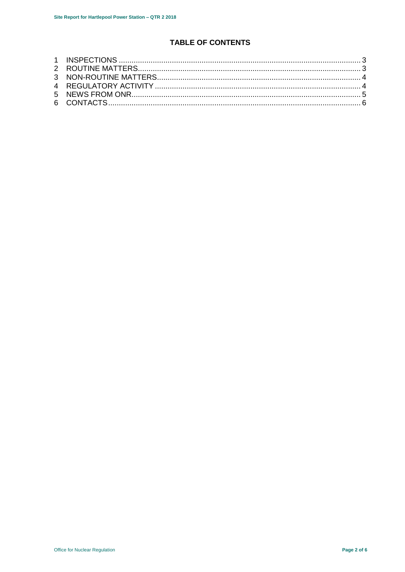# TABLE OF CONTENTS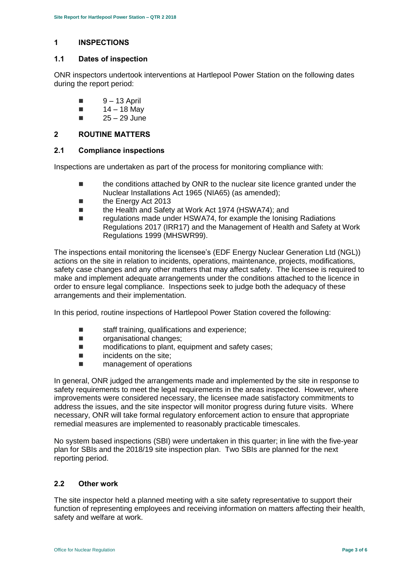# <span id="page-2-0"></span>**1 INSPECTIONS**

## **1.1 Dates of inspection**

ONR inspectors undertook interventions at Hartlepool Power Station on the following dates during the report period:

- $9 13$  April
- $14 18$  May
- $\blacksquare$  25 29 June

# <span id="page-2-1"></span>**2 ROUTINE MATTERS**

## **2.1 Compliance inspections**

Inspections are undertaken as part of the process for monitoring compliance with:

- the conditions attached by ONR to the nuclear site licence granted under the Nuclear Installations Act 1965 (NIA65) (as amended);
- the Energy Act 2013
- the Health and Safety at Work Act 1974 (HSWA74); and
- regulations made under HSWA74, for example the Ionising Radiations Regulations 2017 (IRR17) and the Management of Health and Safety at Work Regulations 1999 (MHSWR99).

The inspections entail monitoring the licensee's (EDF Energy Nuclear Generation Ltd (NGL)) actions on the site in relation to incidents, operations, maintenance, projects, modifications, safety case changes and any other matters that may affect safety. The licensee is required to make and implement adequate arrangements under the conditions attached to the licence in order to ensure legal compliance. Inspections seek to judge both the adequacy of these arrangements and their implementation.

In this period, routine inspections of Hartlepool Power Station covered the following:

- staff training, qualifications and experience;
- **n** organisational changes;
- $\blacksquare$  modifications to plant, equipment and safety cases;
- $\blacksquare$  incidents on the site:
- **E** management of operations

In general, ONR judged the arrangements made and implemented by the site in response to safety requirements to meet the legal requirements in the areas inspected. However, where improvements were considered necessary, the licensee made satisfactory commitments to address the issues, and the site inspector will monitor progress during future visits. Where necessary, ONR will take formal regulatory enforcement action to ensure that appropriate remedial measures are implemented to reasonably practicable timescales.

No system based inspections (SBI) were undertaken in this quarter; in line with the five-year plan for SBIs and the 2018/19 site inspection plan. Two SBIs are planned for the next reporting period.

# **2.2 Other work**

The site inspector held a planned meeting with a site safety representative to support their function of representing employees and receiving information on matters affecting their health, safety and welfare at work.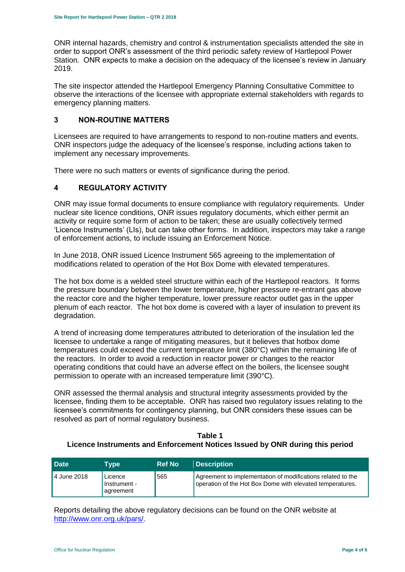ONR internal hazards, chemistry and control & instrumentation specialists attended the site in order to support ONR's assessment of the third periodic safety review of Hartlepool Power Station. ONR expects to make a decision on the adequacy of the licensee's review in January 2019.

The site inspector attended the Hartlepool Emergency Planning Consultative Committee to observe the interactions of the licensee with appropriate external stakeholders with regards to emergency planning matters.

# <span id="page-3-0"></span>**3 NON-ROUTINE MATTERS**

Licensees are required to have arrangements to respond to non-routine matters and events. ONR inspectors judge the adequacy of the licensee's response, including actions taken to implement any necessary improvements.

There were no such matters or events of significance during the period.

# <span id="page-3-1"></span>**4 REGULATORY ACTIVITY**

ONR may issue formal documents to ensure compliance with regulatory requirements. Under nuclear site licence conditions, ONR issues regulatory documents, which either permit an activity or require some form of action to be taken; these are usually collectively termed 'Licence Instruments' (LIs), but can take other forms. In addition, inspectors may take a range of enforcement actions, to include issuing an Enforcement Notice.

In June 2018, ONR issued Licence Instrument 565 agreeing to the implementation of modifications related to operation of the Hot Box Dome with elevated temperatures.

The hot box dome is a welded steel structure within each of the Hartlepool reactors. It forms the pressure boundary between the lower temperature, higher pressure re-entrant gas above the reactor core and the higher temperature, lower pressure reactor outlet gas in the upper plenum of each reactor. The hot box dome is covered with a layer of insulation to prevent its degradation.

A trend of increasing dome temperatures attributed to deterioration of the insulation led the licensee to undertake a range of mitigating measures, but it believes that hotbox dome temperatures could exceed the current temperature limit (380°C) within the remaining life of the reactors. In order to avoid a reduction in reactor power or changes to the reactor operating conditions that could have an adverse effect on the boilers, the licensee sought permission to operate with an increased temperature limit (390°C).

ONR assessed the thermal analysis and structural integrity assessments provided by the licensee, finding them to be acceptable. ONR has raised two regulatory issues relating to the licensee's commitments for contingency planning, but ONR considers these issues can be resolved as part of normal regulatory business.

## **Table 1 Licence Instruments and Enforcement Notices Issued by ONR during this period**

| <b>Date</b>   | Tvpe                                 | <b>Ref No</b> | <b>Description</b>                                                                                                       |
|---------------|--------------------------------------|---------------|--------------------------------------------------------------------------------------------------------------------------|
| l 4 June 2018 | Licence<br>Instrument -<br>agreement | 565           | Agreement to implementation of modifications related to the<br>operation of the Hot Box Dome with elevated temperatures. |

Reports detailing the above regulatory decisions can be found on the ONR website at [http://www.onr.org.uk/pars/.](http://www.onr.org.uk/pars/)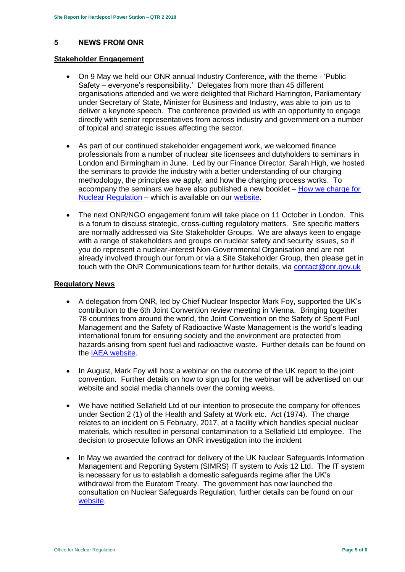## <span id="page-4-0"></span>**5 NEWS FROM ONR**

#### **Stakeholder Engagement**

- On 9 May we held our ONR annual Industry Conference, with the theme 'Public Safety – everyone's responsibility.' Delegates from more than 45 different organisations attended and we were delighted that Richard Harrington, Parliamentary under Secretary of State, Minister for Business and Industry, was able to join us to deliver a keynote speech. The conference provided us with an opportunity to engage directly with senior representatives from across industry and government on a number of topical and strategic issues affecting the sector.
- As part of our continued stakeholder engagement work, we welcomed finance professionals from a number of nuclear site licensees and dutyholders to seminars in London and Birmingham in June. Led by our Finance Director, Sarah High, we hosted the seminars to provide the industry with a better understanding of our charging methodology, the principles we apply, and how the charging process works. To accompany the seminars we have also published a new booklet – [How we charge for](http://www.onr.org.uk/documents/2018/how-we-charge-for-nuclear-regulation.pdf)  [Nuclear Regulation](http://www.onr.org.uk/documents/2018/how-we-charge-for-nuclear-regulation.pdf) – which is available on our [website.](http://www.onr.org.uk/documents/2018/how-we-charge-for-nuclear-regulation.pdf)
- The next ONR/NGO engagement forum will take place on 11 October in London. This is a forum to discuss strategic, cross-cutting regulatory matters. Site specific matters are normally addressed via Site Stakeholder Groups. We are always keen to engage with a range of stakeholders and groups on nuclear safety and security issues, so if you do represent a nuclear-interest Non-Governmental Organisation and are not already involved through our forum or via a Site Stakeholder Group, then please get in touch with the ONR Communications team for further details, via [contact@onr.gov.uk](mailto:contact@onr.gov.uk)

#### **Regulatory News**

- A delegation from ONR, led by Chief Nuclear Inspector Mark Foy, supported the UK's contribution to the 6th Joint Convention review meeting in Vienna. Bringing together 78 countries from around the world, the Joint Convention on the Safety of Spent Fuel Management and the Safety of Radioactive Waste Management is the world's leading international forum for ensuring society and the environment are protected from hazards arising from spent fuel and radioactive waste. Further details can be found on the [IAEA website.](https://www.iaea.org/events/sixth-review-meeting-of-the-contracting-parties-to-the-joint-convention-on-the-safety-of-spent-fuel-management-and-on-the-safety-of-radioactive-waste-management-joint-convention)
- In August, Mark Foy will host a webinar on the outcome of the UK report to the joint convention. Further details on how to sign up for the webinar will be advertised on our website and social media channels over the coming weeks.
- We have notified Sellafield Ltd of our intention to prosecute the company for offences under Section 2 (1) of the Health and Safety at Work etc. Act (1974). The charge relates to an incident on 5 February, 2017, at a facility which handles special nuclear materials, which resulted in personal contamination to a Sellafield Ltd employee. The decision to prosecute follows an ONR investigation into the incident
- In May we awarded the contract for delivery of the UK Nuclear Safeguards Information Management and Reporting System (SIMRS) IT system to Axis 12 Ltd. The IT system is necessary for us to establish a domestic safeguards regime after the UK's withdrawal from the Euratom Treaty. The government has now launched the consultation on Nuclear Safeguards Regulation, further details can be found on our [website.](http://news.onr.org.uk/2018/07/government-consults-on-nuclear-safeguards-regulations/)